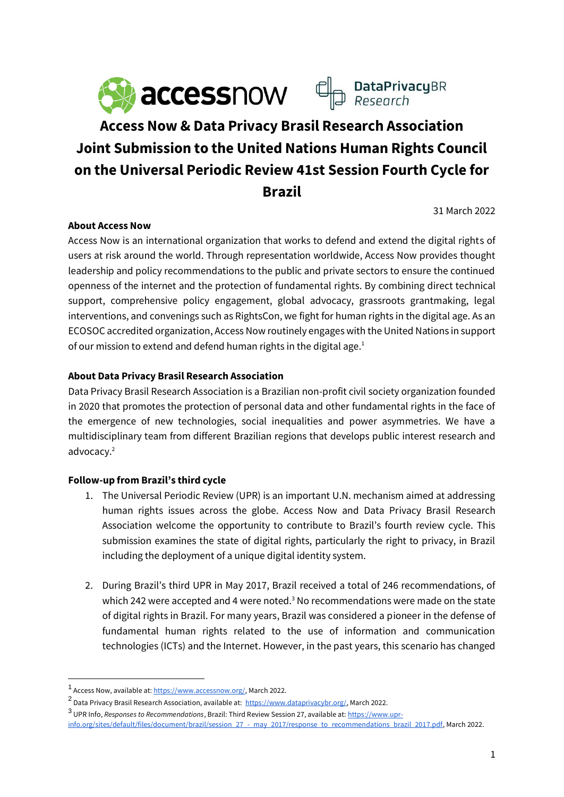

# **Access Now & Data Privacy Brasil Research Association Joint Submission to the United Nations Human Rights Council on the Universal Periodic Review 41st Session Fourth Cycle for Brazil**

31 March 2022

#### **About Access Now**

Access Now is an international organization that works to defend and extend the digital rights of users at risk around the world. Through representation worldwide, Access Now provides thought leadership and policy recommendations to the public and private sectors to ensure the continued openness of the internet and the protection of fundamental rights. By combining direct technical support, comprehensive policy engagement, global advocacy, grassroots grantmaking, legal interventions, and convenings such as RightsCon, we fight for human rights in the digital age. As an ECOSOC accredited organization, Access Now routinely engages with the United Nations in support of our mission to extend and defend human rights in the digital age.<sup>1</sup>

## **About Data Privacy Brasil Research Association**

Data Privacy Brasil Research Association is a Brazilian non-profit civil society organization founded in 2020 that promotes the protection of personal data and other fundamental rights in the face of the emergence of new technologies, social inequalities and power asymmetries. We have a multidisciplinary team from different Brazilian regions that develops public interest research and advocacy.<sup>2</sup>

#### **Follow-up from Brazil's third cycle**

- 1. The Universal Periodic Review (UPR) is an important U.N. mechanism aimed at addressing human rights issues across the globe. Access Now and Data Privacy Brasil Research Association welcome the opportunity to contribute to Brazil's fourth review cycle. This submission examines the state of digital rights, particularly the right to privacy, in Brazil including the deployment of a unique digital identity system.
- 2. During Brazil's third UPR in May 2017, Brazil received a total of 246 recommendations, of which 242 were accepted and 4 were noted. $3$  No recommendations were made on the state of digital rights in Brazil. For many years, Brazil was considered a pioneer in the defense of fundamental human rights related to the use of information and communication technologies (ICTs) and the Internet. However, in the past years, this scenario has changed

<sup>&</sup>lt;sup>1</sup> Access Now, available at[: https://www.accessnow.org/,](https://www.accessnow.org/) March 2022.

<sup>&</sup>lt;sup>2</sup> Data Privacy Brasil Research Association, available at: [https://www.dataprivacybr.org/,](https://www.dataprivacybr.org/) March 2022.

<sup>&</sup>lt;sup>3</sup> UPR Info, *Responses to Recommendations*, Brazil: Third Review Session 27, available at: <u>https://www.upr-</u>

[info.org/sites/default/files/document/brazil/session\\_27\\_-\\_may\\_2017/response\\_to\\_recommendations\\_brazil\\_2017.pdf,](https://www.upr-info.org/sites/default/files/document/brazil/session_27_-_may_2017/response_to_recommendations_brazil_2017.pdf) March 2022.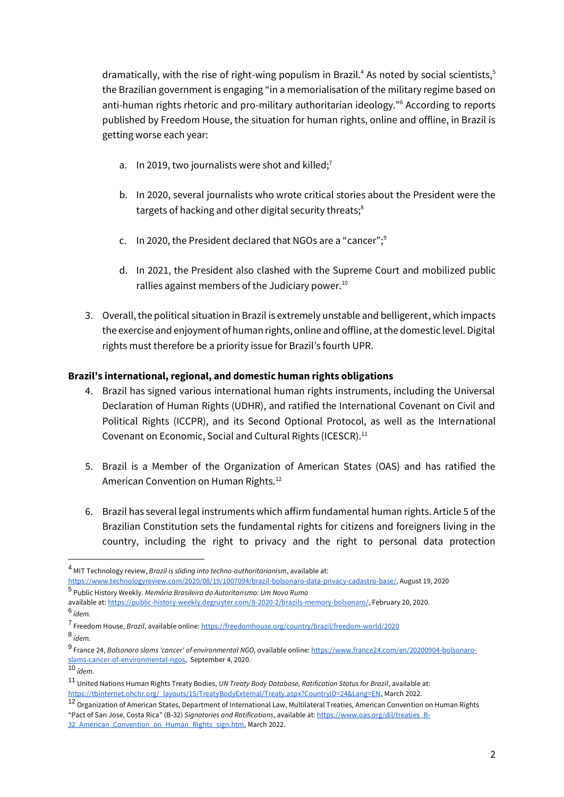dramatically, with the rise of right-wing populism in Brazil.<sup>4</sup> As noted by social scientists,<sup>5</sup> the Brazilian government is engaging "in a memorialisation of the military regime based on anti-human rights rhetoric and pro-military authoritarian ideology."<sup>6</sup> According to reports published by Freedom House, the situation for human rights, online and offline, in Brazil is getting worse each year:

- a. In 2019, two journalists were shot and killed;<sup>7</sup>
- b. In 2020, several journalists who wrote critical stories about the President were the targets of hacking and other digital security threats;<sup>8</sup>
- c. In 2020, the President declared that NGOs are a "cancer";<sup>9</sup>
- d. In 2021, the President also clashed with the Supreme Court and mobilized public rallies against members of the Judiciary power. $10$
- 3. Overall, the political situation in Brazil is extremely unstable and belligerent, which impacts the exercise and enjoyment of human rights, online and offline, at the domestic level. Digital rights must therefore be a priority issue for Brazil's fourth UPR.

#### **Brazil's international, regional, and domestic human rights obligations**

- 4. Brazil has signed various international human rights instruments, including the Universal Declaration of Human Rights (UDHR), and ratified the International Covenant on Civil and Political Rights (ICCPR), and its Second Optional Protocol, as well as the International Covenant on Economic, Social and Cultural Rights (ICESCR).<sup>11</sup>
- 5. Brazil is a Member of the Organization of American States (OAS) and has ratified the American Convention on Human Rights.<sup>12</sup>
- 6. Brazil has several legal instruments which affirm fundamental human rights. Article 5 of the Brazilian Constitution sets the fundamental rights for citizens and foreigners living in the country, including the right to privacy and the right to personal data protection

<sup>4</sup> MIT Technology review, *Brazil is sliding into techno-authoritarianism*, available at:

[https://www.technologyreview.com/2020/08/19/1007094/brazil-bolsonaro-data-privacy-cadastro-base/,](https://www.technologyreview.com/2020/08/19/1007094/brazil-bolsonaro-data-privacy-cadastro-base/) August 19, 2020

<sup>5</sup> Public History Weekly. *Memória Brasileira do Autoritarismo: Um Novo Rumo*

available at[: https://public-history-weekly.degruyter.com/8-2020-2/brazils-memory-bolsonaro/,](https://public-history-weekly.degruyter.com/8-2020-2/brazils-memory-bolsonaro/) February 20, 2020. 6 *ídem.*

<sup>7</sup> Freedom House, *Brazil*, available online[: https://freedomhouse.org/country/brazil/freedom-world/2020](https://freedomhouse.org/country/brazil/freedom-world/2020)

<sup>8</sup> *ídem.*

<sup>9</sup> France 24, *Bolsonaro slams 'cancer' of environmental NGO, a*vailable online[: https://www.france24.com/en/20200904-bolsonaro](https://www.france24.com/en/20200904-bolsonaro-slams-cancer-of-environmental-ngos)[slams-cancer-of-environmental-ngos,](https://www.france24.com/en/20200904-bolsonaro-slams-cancer-of-environmental-ngos) September 4, 2020.

<sup>10</sup> *ídem.*

<sup>11</sup> United Nations Human Rights Treaty Bodies, *UN Treaty Body Database, Ratification Status for Brazil*, available at: [https://tbinternet.ohchr.org/\\_layouts/15/TreatyBodyExternal/Treaty.aspx?CountryID=24&Lang=EN,](https://tbinternet.ohchr.org/_layouts/15/TreatyBodyExternal/Treaty.aspx?CountryID=24&Lang=EN) March 2022.

<sup>12</sup> Organization of American States, Department of International Law, Multilateral Treaties, American Convention on Human Rights "Pact of San Jose, Costa Rica" (B-32) *Signatories and Ratifications*, available at[: https://www.oas.org/dil/treaties\\_B-](https://www.oas.org/dil/treaties_B-32_American_Convention_on_Human_Rights_sign.htm)32 American Convention on Human Rights sign.htm, March 2022.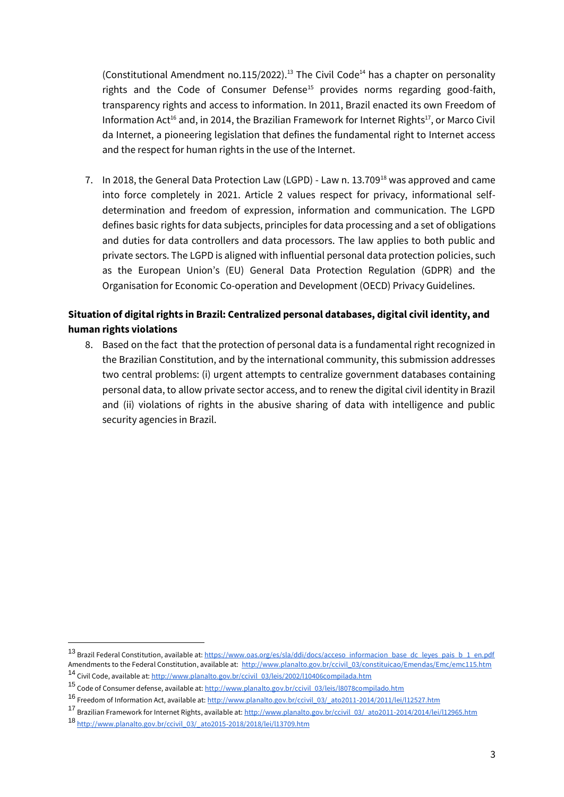(Constitutional Amendment no.115/2022).<sup>13</sup> The Civil Code<sup>14</sup> has a chapter on personality rights and the Code of Consumer Defense<sup>15</sup> provides norms regarding good-faith, transparency rights and access to information. In 2011, Brazil enacted its own Freedom of Information Act<sup>16</sup> and, in 2014, the Brazilian Framework for Internet Rights<sup>17</sup>, or Marco Civil da Internet, a pioneering legislation that defines the fundamental right to Internet access and the respect for human rights in the use of the Internet.

7. In 2018, the General Data Protection Law (LGPD) - Law n. 13.709<sup>18</sup> was approved and came into force completely in 2021. Article 2 values respect for privacy, informational selfdetermination and freedom of expression, information and communication. The LGPD defines basic rights for data subjects, principles for data processing and a set of obligations and duties for data controllers and data processors. The law applies to both public and private sectors. The LGPD is aligned with influential personal data protection policies, such as the European Union's (EU) General Data Protection Regulation (GDPR) and the Organisation for Economic Co-operation and Development (OECD) Privacy Guidelines.

# **Situation of digital rights in Brazil: Centralized personal databases, digital civil identity, and human rights violations**

8. Based on the fact that the protection of personal data is a fundamental right recognized in the Brazilian Constitution, and by the international community, this submission addresses two central problems: (i) urgent attempts to centralize government databases containing personal data, to allow private sector access, and to renew the digital civil identity in Brazil and (ii) violations of rights in the abusive sharing of data with intelligence and public security agencies in Brazil.

<sup>13</sup> Brazil Federal Constitution, available at[: https://www.oas.org/es/sla/ddi/docs/acceso\\_informacion\\_base\\_dc\\_leyes\\_pais\\_b\\_1\\_en.pdf](https://www.oas.org/es/sla/ddi/docs/acceso_informacion_base_dc_leyes_pais_b_1_en.pdf) Amendments to the Federal Constitution, available at: [http://www.planalto.gov.br/ccivil\\_03/constituicao/Emendas/Emc/emc115.htm](http://www.planalto.gov.br/ccivil_03/constituicao/Emendas/Emc/emc115.htm) 14 Civil Code, available at[: http://www.planalto.gov.br/ccivil\\_03/leis/2002/l10406compilada.htm](http://www.planalto.gov.br/ccivil_03/leis/2002/l10406compilada.htm)

<sup>15</sup> Code of Consumer defense, available at[: http://www.planalto.gov.br/ccivil\\_03/leis/l8078compilado.htm](http://www.planalto.gov.br/ccivil_03/leis/l8078compilado.htm)

<sup>16</sup> Freedom of Information Act, available at: http://www.planalto.gov.br/ccivil 03/ ato2011-2014/2011/lei/l12527.htm

<sup>&</sup>lt;sup>17</sup> Brazilian Framework for Internet Rights, available at[: http://www.planalto.gov.br/ccivil\\_03/\\_ato2011-2014/2014/lei/l12965.htm](http://www.planalto.gov.br/ccivil_03/_ato2011-2014/2014/lei/l12965.htm) <sup>18</sup> [http://www.planalto.gov.br/ccivil\\_03/\\_ato2015-2018/2018/lei/l13709.htm](http://www.planalto.gov.br/ccivil_03/_ato2015-2018/2018/lei/l13709.htm)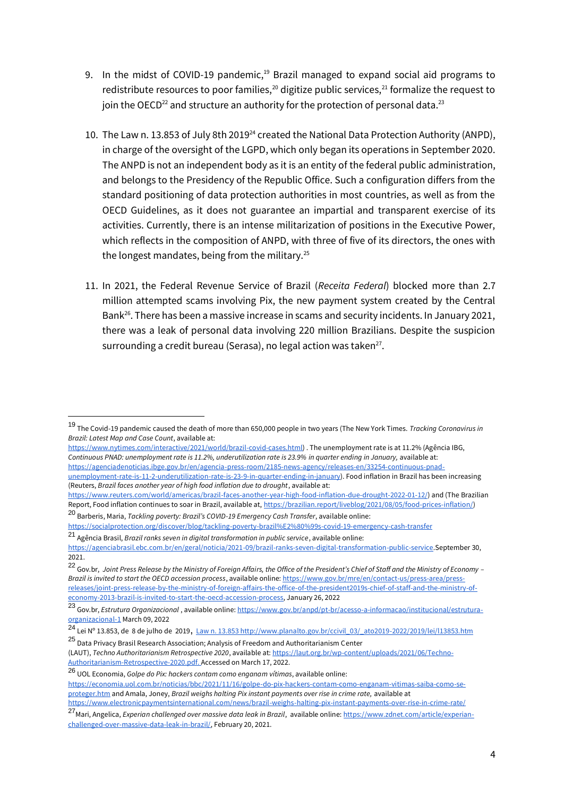- 9. In the midst of COVID-19 pandemic, $19$  Brazil managed to expand social aid programs to redistribute resources to poor families,<sup>20</sup> digitize public services,<sup>21</sup> formalize the request to join the OECD<sup>22</sup> and structure an authority for the protection of personal data.<sup>23</sup>
- 10. The Law n. 13.853 of July 8th 2019<sup>24</sup> created the National Data Protection Authority (ANPD), in charge of the oversight of the LGPD, which only began its operations in September 2020. The ANPD is not an independent body as it is an entity of the federal public administration, and belongs to the Presidency of the Republic Office. Such a configuration differs from the standard positioning of data protection authorities in most countries, as well as from the OECD Guidelines, as it does not guarantee an impartial and transparent exercise of its activities. Currently, there is an intense militarization of positions in the Executive Power, which reflects in the composition of ANPD, with three of five of its directors, the ones with the longest mandates, being from the military.<sup>25</sup>
- 11. In 2021, the Federal Revenue Service of Brazil (*Receita Federal*) blocked more than 2.7 million attempted scams involving Pix, the new payment system created by the Central Bank<sup>26</sup>. There has been a massive increase in scams and security incidents. In January 2021, there was a leak of personal data involving 220 million Brazilians. Despite the suspicion surrounding a credit bureau (Serasa), no legal action was taken $^{27}$ .

[https://www.nytimes.com/interactive/2021/world/brazil-covid-cases.html\)](https://www.nytimes.com/interactive/2021/world/brazil-covid-cases.html) . The unemployment rate is at 11.2% (Agência IBG, *Continuous PNAD: unemployment rate is 11.2%, underutilization rate is 23.9% in quarter ending in January,* available at: [https://agenciadenoticias.ibge.gov.br/en/agencia-press-room/2185-news-agency/releases-en/33254-continuous-pnad-](https://agenciadenoticias.ibge.gov.br/en/agencia-press-room/2185-news-agency/releases-en/33254-continuous-pnad-unemployment-rate-is-11-2-underutilization-rate-is-23-9-in-quarter-ending-in-january)

[https://www.reuters.com/world/americas/brazil-faces-another-year-high-food-inflation-due-drought-2022-01-12/\)](https://www.reuters.com/world/americas/brazil-faces-another-year-high-food-inflation-due-drought-2022-01-12/) and (The Brazilian Report, Food inflation continues to soar in Brazil, available at, [https://brazilian.report/liveblog/2021/08/05/food-prices-inflation/\)](https://brazilian.report/liveblog/2021/08/05/food-prices-inflation/) <sup>20</sup> Barberis, Maria, *Tackling poverty: Brazil's COVID-19 Emergency Cash Transfer*, available online:

<https://socialprotection.org/discover/blog/tackling-poverty-brazil%E2%80%99s-covid-19-emergency-cash-transfer> <sup>21</sup> Agência Brasil, *Brazil ranks seven in digital transformation in public service*, available online:

<sup>22</sup> Gov.br, *Joint Press Release by the Ministry of Foreign Affairs, the Office of the President's Chief of Staff and the Ministry of Economy – Brazil is invited to start the OECD accession process*, available online: [https://www.gov.br/mre/en/contact-us/press-area/press](https://www.gov.br/mre/en/contact-us/press-area/press-releases/joint-press-release-by-the-ministry-of-foreign-affairs-the-office-of-the-president2019s-chief-of-staff-and-the-ministry-of-economy-2013-brazil-is-invited-to-start-the-oecd-accession-process)[releases/joint-press-release-by-the-ministry-of-foreign-affairs-the-office-of-the-president2019s-chief-of-staff-and-the-ministry-of](https://www.gov.br/mre/en/contact-us/press-area/press-releases/joint-press-release-by-the-ministry-of-foreign-affairs-the-office-of-the-president2019s-chief-of-staff-and-the-ministry-of-economy-2013-brazil-is-invited-to-start-the-oecd-accession-process)[economy-2013-brazil-is-invited-to-start-the-oecd-accession-process,](https://www.gov.br/mre/en/contact-us/press-area/press-releases/joint-press-release-by-the-ministry-of-foreign-affairs-the-office-of-the-president2019s-chief-of-staff-and-the-ministry-of-economy-2013-brazil-is-invited-to-start-the-oecd-accession-process) January 26, 2022

<sup>19</sup> The Covid-19 pandemic caused the death of more than 650,000 people in two years (The New York Times. *Tracking Coronavirus in Brazil: Latest Map and Case Count*, available at:

[unemployment-rate-is-11-2-underutilization-rate-is-23-9-in-quarter-ending-in-january\)](https://agenciadenoticias.ibge.gov.br/en/agencia-press-room/2185-news-agency/releases-en/33254-continuous-pnad-unemployment-rate-is-11-2-underutilization-rate-is-23-9-in-quarter-ending-in-january). Food inflation in Brazil has been increasing (Reuters, *Brazil faces another year of high food inflation due to drought*, available at:

[https://agenciabrasil.ebc.com.br/en/geral/noticia/2021-09/brazil-ranks-seven-digital-transformation-public-service.S](https://agenciabrasil.ebc.com.br/en/geral/noticia/2021-09/brazil-ranks-seven-digital-transformation-public-service)eptember 30, 2021.

<sup>23</sup> Gov.br, *Estrutura Organizacional* , available online[: https://www.gov.br/anpd/pt-br/acesso-a-informacao/institucional/estrutura](https://www.gov.br/anpd/pt-br/acesso-a-informacao/institucional/estrutura-organizacional-1)[organizacional-1](https://www.gov.br/anpd/pt-br/acesso-a-informacao/institucional/estrutura-organizacional-1) March 09, 2022

<sup>24</sup> Le[i Nº 13.853, de 8 de julho de 2019](http://legislacao.planalto.gov.br/legisla/legislacao.nsf/Viw_Identificacao/lei%2013.853-2019?OpenDocument), [Law n. 13.853 http://www.planalto.gov.br/ccivil\\_03/\\_ato2019-2022/2019/lei/l13853.htm](http://www.planalto.gov.br/ccivil_03/_ato2019-2022/2019/lei/l13853.htm) <sup>25</sup> Data Privacy Brasil Research Association; Analysis of Freedom and Authoritarianism Center

<sup>(</sup>LAUT), *Techno Authoritarianism Retrospective 2020*, available at[: https://laut.org.br/wp-content/uploads/2021/06/Techno-](https://laut.org.br/wp-content/uploads/2021/06/Techno-Authoritarianism-Retrospective-2020.pdf)[Authoritarianism-Retrospective-2020.pdf. A](https://laut.org.br/wp-content/uploads/2021/06/Techno-Authoritarianism-Retrospective-2020.pdf)ccessed on March 17, 2022.

<sup>26</sup> UOL Economia, *Golpe do Pix: hackers contam como enganam vítimas*, available online:

[https://economia.uol.com.br/noticias/bbc/2021/11/16/golpe-do-pix-hackers-contam-como-enganam-vitimas-saiba-como-se](https://economia.uol.com.br/noticias/bbc/2021/11/16/golpe-do-pix-hackers-contam-como-enganam-vitimas-saiba-como-se-proteger.htm)[proteger.htm](https://economia.uol.com.br/noticias/bbc/2021/11/16/golpe-do-pix-hackers-contam-como-enganam-vitimas-saiba-como-se-proteger.htm) and Amala, Joney, *Brazil weighs halting Pix instant payments over rise in crime rate,* available at

<https://www.electronicpaymentsinternational.com/news/brazil-weighs-halting-pix-instant-payments-over-rise-in-crime-rate/>

<sup>27</sup>Mari, Angelica, *Experian challenged over massive data leak in Brazil*, available online[: https://www.zdnet.com/article/experian](https://www.zdnet.com/article/experian-challenged-over-massive-data-leak-in-brazil/)[challenged-over-massive-data-leak-in-brazil/,](https://www.zdnet.com/article/experian-challenged-over-massive-data-leak-in-brazil/) February 20, 2021.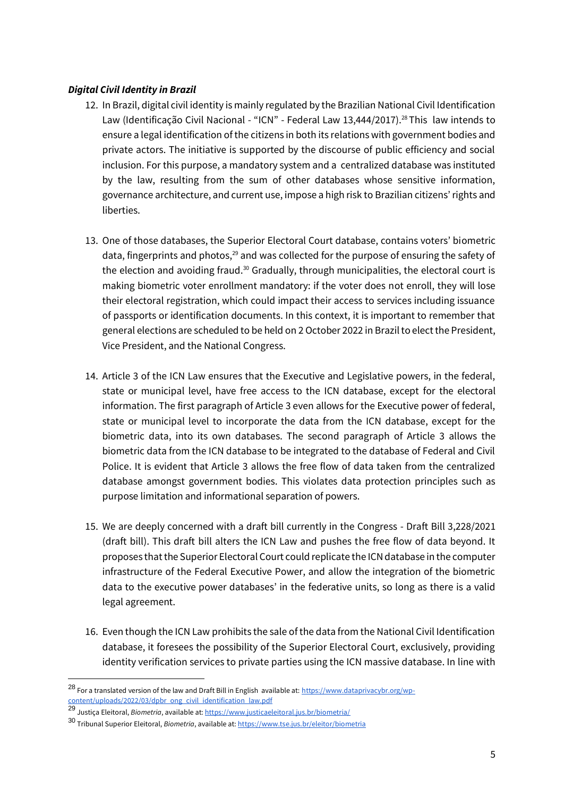## *Digital Civil Identity in Brazil*

- 12. In Brazil, digital civil identity is mainly regulated by the Brazilian National Civil Identification Law (Identificação Civil Nacional - "ICN" - Federal Law 13,444/2017).<sup>28</sup> This law intends to ensure a legal identification of the citizens in both its relations with government bodies and private actors. The initiative is supported by the discourse of public efficiency and social inclusion. For this purpose, a mandatory system and a centralized database was instituted by the law, resulting from the sum of other databases whose sensitive information, governance architecture, and current use, impose a high risk to Brazilian citizens' rights and liberties.
- 13. One of those databases, the Superior Electoral Court database, contains voters' biometric data, fingerprints and photos,<sup>29</sup> and was collected for the purpose of ensuring the safety of the election and avoiding fraud.<sup>30</sup> Gradually, through municipalities, the electoral court is making biometric voter enrollment mandatory: if the voter does not enroll, they will lose their electoral registration, which could impact their access to services including issuance of passports or identification documents. In this context, it is important to remember that general elections are scheduled to be held on 2 October 2022 in Brazil to elect the President, Vice President, and the National Congress.
- 14. Article 3 of the ICN Law ensures that the Executive and Legislative powers, in the federal, state or municipal level, have free access to the ICN database, except for the electoral information. The first paragraph of Article 3 even allows for the Executive power of federal, state or municipal level to incorporate the data from the ICN database, except for the biometric data, into its own databases. The second paragraph of Article 3 allows the biometric data from the ICN database to be integrated to the database of Federal and Civil Police. It is evident that Article 3 allows the free flow of data taken from the centralized database amongst government bodies. This violates data protection principles such as purpose limitation and informational separation of powers.
- 15. We are deeply concerned with a draft bill currently in the Congress Draft Bill 3,228/2021 (draft bill). This draft bill alters the ICN Law and pushes the free flow of data beyond. It proposes that the Superior Electoral Court could replicate the ICN database in the computer infrastructure of the Federal Executive Power, and allow the integration of the biometric data to the executive power databases' in the federative units, so long as there is a valid legal agreement.
- 16. Even though the ICN Law prohibits the sale of the data from the National Civil Identification database, it foresees the possibility of the Superior Electoral Court, exclusively, providing identity verification services to private parties using the ICN massive database. In line with

<sup>28</sup> For a translated version of the law and Draft Bill in English available at: [https://www.dataprivacybr.org/wp](https://www.dataprivacybr.org/wp-content/uploads/2022/03/dpbr_ong_civil_identification_law.pdf)[content/uploads/2022/03/dpbr\\_ong\\_civil\\_identification\\_law.pdf](https://www.dataprivacybr.org/wp-content/uploads/2022/03/dpbr_ong_civil_identification_law.pdf)

<sup>29</sup> Justiça Eleitoral, *Biometria*, available at:<https://www.justicaeleitoral.jus.br/biometria/>

<sup>30</sup> Tribunal Superior Eleitoral, *Biometria*, available at[: https://www.tse.jus.br/eleitor/biometria](https://www.tse.jus.br/eleitor/biometria)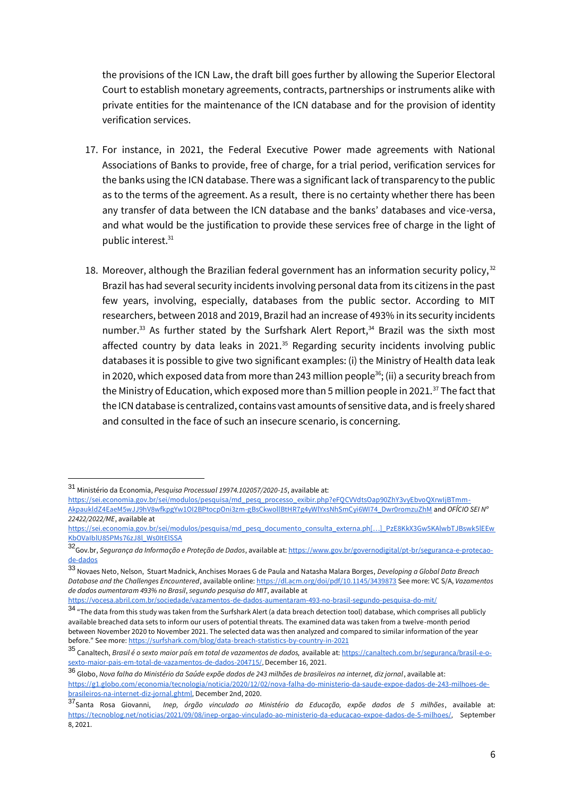the provisions of the ICN Law, the draft bill goes further by allowing the Superior Electoral Court to establish monetary agreements, contracts, partnerships or instruments alike with private entities for the maintenance of the ICN database and for the provision of identity verification services.

- 17. For instance, in 2021, the Federal Executive Power made agreements with National Associations of Banks to provide, free of charge, for a trial period, verification services for the banks using the ICN database. There was a significant lack of transparency to the public as to the terms of the agreement. As a result, there is no certainty whether there has been any transfer of data between the ICN database and the banks' databases and vice-versa, and what would be the justification to provide these services free of charge in the light of public interest.<sup>31</sup>
- 18. Moreover, although the Brazilian federal government has an information security policy,  $32$ Brazil has had several security incidents involving personal data from its citizens in the past few years, involving, especially, databases from the public sector. According to MIT researchers, between 2018 and 2019, Brazil had an increase of 493% in its security incidents number.<sup>33</sup> As further stated by the Surfshark Alert Report, $34$  Brazil was the sixth most affected country by data leaks in 2021.<sup>35</sup> Regarding security incidents involving public databases it is possible to give two significant examples: (i) the Ministry of Health data leak in 2020, which exposed data from more than 243 million people<sup>36</sup>; (ii) a security breach from the Ministry of Education, which exposed more than 5 million people in 2021.<sup>37</sup> The fact that the ICN database is centralized, contains vast amounts of sensitive data, and is freely shared and consulted in the face of such an insecure scenario, is concerning.

-

[https://sei.economia.gov.br/sei/modulos/pesquisa/md\\_pesq\\_processo\\_exibir.php?eFQCVVdtsOap90ZhY3vyEbvoQXrwIjBTmm-](https://sei.economia.gov.br/sei/modulos/pesquisa/md_pesq_processo_exibir.php?eFQCVVdtsOap90ZhY3vyEbvoQXrwIjBTmm-AkpaukldZ4EaeM5wJJ9hV8wfkpgYw1OI2BPtocpOni3zm-gBsCkwollBtHR7g4yWlYxsNhSmCyi6WI74_Dwr0romzuZhM)[AkpaukldZ4EaeM5wJJ9hV8wfkpgYw1OI2BPtocpOni3zm-gBsCkwollBtHR7g4yWlYxsNhSmCyi6WI74\\_Dwr0romzuZhM](https://sei.economia.gov.br/sei/modulos/pesquisa/md_pesq_processo_exibir.php?eFQCVVdtsOap90ZhY3vyEbvoQXrwIjBTmm-AkpaukldZ4EaeM5wJJ9hV8wfkpgYw1OI2BPtocpOni3zm-gBsCkwollBtHR7g4yWlYxsNhSmCyi6WI74_Dwr0romzuZhM) and *OFÍCIO SEI Nº 22422/2022/ME*, available at

<sup>31</sup> Ministério da Economia, *Pesquisa Processual 19974.102057/2020-15*, available at:

[https://sei.economia.gov.br/sei/modulos/pesquisa/md\\_pesq\\_documento\\_consulta\\_externa.ph\[…\]\\_PzE8KkX3Gw5KAlwbTJBswk5lEEw](https://sei.economia.gov.br/sei/modulos/pesquisa/md_pesq_documento_consulta_externa.php?fqSARUWn7hYfByf1fFWEOh062ExzcPxpUOH5cxXunUjKsdxvbC6DXR79vZGtG22EuMmf6_PzE8KkX3Gw5KAlwbTJBswk5lEEwKbOVaIblU85PMs76zJ8l_Ws0ItElSSA) [KbOVaIblU85PMs76zJ8l\\_Ws0ItElSSA](https://sei.economia.gov.br/sei/modulos/pesquisa/md_pesq_documento_consulta_externa.php?fqSARUWn7hYfByf1fFWEOh062ExzcPxpUOH5cxXunUjKsdxvbC6DXR79vZGtG22EuMmf6_PzE8KkX3Gw5KAlwbTJBswk5lEEwKbOVaIblU85PMs76zJ8l_Ws0ItElSSA)

<sup>32</sup>Gov.br, *Segurança da Informação e Proteção de Dados*, available at[: https://www.gov.br/governodigital/pt-br/seguranca-e-protecao](https://www.gov.br/governodigital/pt-br/seguranca-e-protecao-de-dados)[de-dados](https://www.gov.br/governodigital/pt-br/seguranca-e-protecao-de-dados)

<sup>33</sup> Novaes Neto, Nelson, Stuart Madnick, Anchises Moraes G de Paula and Natasha Malara Borges, *Developing a Global Data Breach Database and the Challenges Encountered*, available online: <https://dl.acm.org/doi/pdf/10.1145/3439873> See more: [VC S/A,](https://vocesa.abril.com.br/sociedade/vazamentos-de-dados-aumentaram-493-no-brasil-segundo-pesquisa-do-mit/) *[Vazamentos](https://vocesa.abril.com.br/sociedade/vazamentos-de-dados-aumentaram-493-no-brasil-segundo-pesquisa-do-mit/)  [de dados aumentaram 493% no Brasil](https://vocesa.abril.com.br/sociedade/vazamentos-de-dados-aumentaram-493-no-brasil-segundo-pesquisa-do-mit/)*[,](https://vocesa.abril.com.br/sociedade/vazamentos-de-dados-aumentaram-493-no-brasil-segundo-pesquisa-do-mit/) *[segundo pesquisa do MIT](https://vocesa.abril.com.br/sociedade/vazamentos-de-dados-aumentaram-493-no-brasil-segundo-pesquisa-do-mit/)*[, available at](https://vocesa.abril.com.br/sociedade/vazamentos-de-dados-aumentaram-493-no-brasil-segundo-pesquisa-do-mit/)

<https://vocesa.abril.com.br/sociedade/vazamentos-de-dados-aumentaram-493-no-brasil-segundo-pesquisa-do-mit/>

 $34$  "The data from this study was taken from the Surfshark Alert (a data breach detection tool) database, which comprises all publicly available breached data sets to inform our users of potential threats. The examined data was taken from a twelve-month period between November 2020 to November 2021. The selected data was then analyzed and compared to similar information of the year before." See mor[e:](https://surfshark.com/blog/data-breach-statistics-by-country-in-2021) <https://surfshark.com/blog/data-breach-statistics-by-country-in-2021>

<sup>35</sup> Canaltech, *Brasil é o sexto maior país em total de vazamentos de dados,* available at: [https://canaltech.com.br/seguranca/brasil-e-o](https://canaltech.com.br/seguranca/brasil-e-o-sexto-maior-pais-em-total-de-vazamentos-de-dados-204715/)[sexto-maior-pais-em-total-de-vazamentos-de-dados-204715/](https://canaltech.com.br/seguranca/brasil-e-o-sexto-maior-pais-em-total-de-vazamentos-de-dados-204715/), December 16, 2021.

<sup>36</sup> Globo, *Nova falha do Ministério da Saúde expõe dados de 243 milhões de brasileiros na internet, diz jornal*, available at[:](https://g1.globo.com/economia/tecnologia/noticia/2020/12/02/nova-falha-do-ministerio-da-saude-expoe-dados-de-243-milhoes-de-brasileiros-na-internet-diz-jornal.ghtml) [https://g1.globo.com/economia/tecnologia/noticia/2020/12/02/nova-falha-do-ministerio-da-saude-expoe-dados-de-243-milhoes-de](https://g1.globo.com/economia/tecnologia/noticia/2020/12/02/nova-falha-do-ministerio-da-saude-expoe-dados-de-243-milhoes-de-brasileiros-na-internet-diz-jornal.ghtml)[brasileiros-na-internet-diz-jornal.ghtml](https://g1.globo.com/economia/tecnologia/noticia/2020/12/02/nova-falha-do-ministerio-da-saude-expoe-dados-de-243-milhoes-de-brasileiros-na-internet-diz-jornal.ghtml), December 2nd, 2020.

<sup>37</sup>Santa Rosa Giovanni, *Inep, órgão vinculado ao Ministério da Educação, expõe dados de 5 milhões*, available a[t:](https://tecnoblog.net/noticias/2021/09/08/inep-orgao-vinculado-ao-ministerio-da-educacao-expoe-dados-de-5-milhoes/) <https://tecnoblog.net/noticias/2021/09/08/inep-orgao-vinculado-ao-ministerio-da-educacao-expoe-dados-de-5-milhoes/>, September 8, 2021.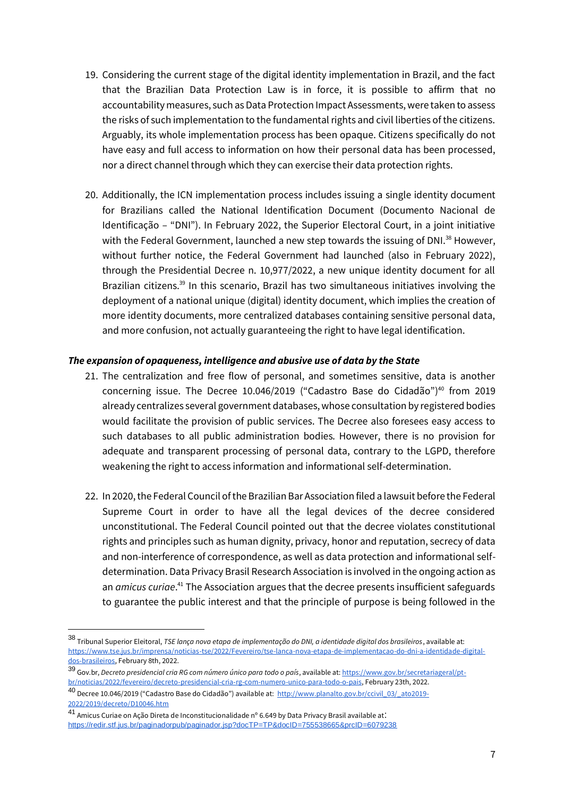- 19. Considering the current stage of the digital identity implementation in Brazil, and the fact that the Brazilian Data Protection Law is in force, it is possible to affirm that no accountability measures, such as Data Protection Impact Assessments, were taken to assess the risks of such implementation to the fundamental rights and civil liberties of the citizens. Arguably, its whole implementation process has been opaque. Citizens specifically do not have easy and full access to information on how their personal data has been processed, nor a direct channel through which they can exercise their data protection rights.
- 20. Additionally, the ICN implementation process includes issuing a single identity document for Brazilians called the National Identification Document (Documento Nacional de Identificação – "DNI"). In February 2022, the Superior Electoral Court, in a joint initiative with the Federal Government, launched a new step towards the issuing of DNI.<sup>38</sup> However, without further notice, the Federal Government had launched (also in February 2022), through the Presidential Decree n. 10,977/2022, a new unique identity document for all Brazilian citizens.<sup>39</sup> In this scenario, Brazil has two simultaneous initiatives involving the deployment of a national unique (digital) identity document, which implies the creation of more identity documents, more centralized databases containing sensitive personal data, and more confusion, not actually guaranteeing the right to have legal identification.

#### *The expansion of opaqueness, intelligence and abusive use of data by the State*

- 21. The centralization and free flow of personal, and sometimes sensitive, data is another concerning issue. The Decree 10.046/2019 ("Cadastro Base do Cidadão")<sup>40</sup> from 2019 already centralizes several government databases, whose consultation by registered bodies would facilitate the provision of public services. The Decree also foresees easy access to such databases to all public administration bodies. However, there is no provision for adequate and transparent processing of personal data, contrary to the LGPD, therefore weakening the right to access information and informational self-determination.
- 22. In 2020, the Federal Council of the Brazilian Bar Association filed a lawsuit before the Federal Supreme Court in order to have all the legal devices of the decree considered unconstitutional. The Federal Council pointed out that the decree violates constitutional rights and principles such as human dignity, privacy, honor and reputation, secrecy of data and non-interference of correspondence, as well as data protection and informational selfdetermination. Data Privacy Brasil Research Association is involved in the ongoing action as an *amicus curiae*.<sup>41</sup> The Association argues that the decree presents insufficient safeguards to guarantee the public interest and that the principle of purpose is being followed in the

<sup>38</sup> Tribunal Superior Eleitoral, *TSE lança nova etapa de implementação do DNI, a identidade digital dos brasileiros*, available a[t:](https://www.tse.jus.br/imprensa/noticias-tse/2022/Fevereiro/tse-lanca-nova-etapa-de-implementacao-do-dni-a-identidade-digital-dos-brasileiros) [https://www.tse.jus.br/imprensa/noticias-tse/2022/Fevereiro/tse-lanca-nova-etapa-de-implementacao-do-dni-a-identidade-digital](https://www.tse.jus.br/imprensa/noticias-tse/2022/Fevereiro/tse-lanca-nova-etapa-de-implementacao-do-dni-a-identidade-digital-dos-brasileiros)[dos-brasileiros,](https://www.tse.jus.br/imprensa/noticias-tse/2022/Fevereiro/tse-lanca-nova-etapa-de-implementacao-do-dni-a-identidade-digital-dos-brasileiros) February 8th, 2022.

<sup>39</sup> Gov.br, *Decreto presidencial cria RG com número único para todo o país*, available at: [https://www.gov.br/secretariageral/pt](https://www.gov.br/secretariageral/pt-br/noticias/2022/fevereiro/decreto-presidencial-cria-rg-com-numero-unico-para-todo-o-pais)[br/noticias/2022/fevereiro/decreto-presidencial-cria-rg-com-numero-unico-para-todo-o-pais,](https://www.gov.br/secretariageral/pt-br/noticias/2022/fevereiro/decreto-presidencial-cria-rg-com-numero-unico-para-todo-o-pais) February 23th, 2022. <sup>40</sup> Decree 10.046/2019 ("Cadastro Base do Cidadão") available at: [http://www.planalto.gov.br/ccivil\\_03/\\_ato2019-](http://www.planalto.gov.br/ccivil_03/_ato2019-2022/2019/decreto/D10046.htm)

[<sup>2022/2019/</sup>decreto/D10046.htm](http://www.planalto.gov.br/ccivil_03/_ato2019-2022/2019/decreto/D10046.htm)

<sup>41</sup> Amicus Curiae on Ação Direta de Inconstitucionalidade nº 6.649 by Data Privacy Brasil available at: <https://redir.stf.jus.br/paginadorpub/paginador.jsp?docTP=TP&docID=755538665&prcID=6079238>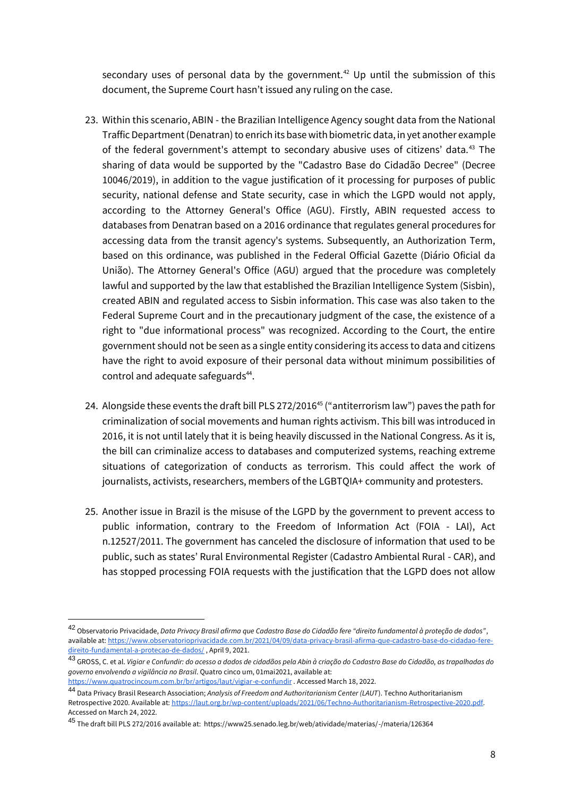secondary uses of personal data by the government.<sup>42</sup> Up until the submission of this document, the Supreme Court hasn't issued any ruling on the case.

- 23. Within this scenario, ABIN the Brazilian Intelligence Agency sought data from the National Traffic Department (Denatran) to enrich its base with biometric data, in yet another example of the federal government's attempt to secondary abusive uses of citizens' data.<sup>43</sup> The sharing of data would be supported by the "Cadastro Base do Cidadão Decree" (Decree 10046/2019), in addition to the vague justification of it processing for purposes of public security, national defense and State security, case in which the LGPD would not apply, according to the Attorney General's Office (AGU). Firstly, ABIN requested access to databases from Denatran based on a 2016 ordinance that regulates general procedures for accessing data from the transit agency's systems. Subsequently, an Authorization Term, based on this ordinance, was published in the Federal Official Gazette (Diário Oficial da União). The Attorney General's Office (AGU) argued that the procedure was completely lawful and supported by the law that established the Brazilian Intelligence System (Sisbin), created ABIN and regulated access to Sisbin information. This case was also taken to the Federal Supreme Court and in the precautionary judgment of the case, the existence of a right to "due informational process" was recognized. According to the Court, the entire government should not be seen as a single entity considering its access to data and citizens have the right to avoid exposure of their personal data without minimum possibilities of control and adequate safeguards<sup>44</sup>.
- 24. Alongside these events the draft bill PLS 272/2016<sup>45</sup> ("antiterrorism law") paves the path for criminalization of social movements and human rights activism. This bill was introduced in 2016, it is not until lately that it is being heavily discussed in the National Congress. As it is, the bill can criminalize access to databases and computerized systems, reaching extreme situations of categorization of conducts as terrorism. This could affect the work of journalists, activists, researchers, members of the LGBTQIA+ community and protesters.
- 25. Another issue in Brazil is the misuse of the LGPD by the government to prevent access to public information, contrary to the Freedom of Information Act (FOIA - LAI), Act n.12527/2011. The government has canceled the disclosure of information that used to be public, such as states' Rural Environmental Register (Cadastro Ambiental Rural - CAR), and has stopped processing FOIA requests with the justification that the LGPD does not allow

<sup>42</sup> Observatorio Privacidade, *Data Privacy Brasil afirma que Cadastro Base do Cidadão fere "direito fundamental à proteção de dados"*, available at[: https://www.observatorioprivacidade.com.br/2021/04/09/data-privacy-brasil-afirma-que-cadastro-base-do-cidadao-fere](https://www.observatorioprivacidade.com.br/2021/04/09/data-privacy-brasil-afirma-que-cadastro-base-do-cidadao-fere-direito-fundamental-a-protecao-de-dados/)[direito-fundamental-a-protecao-de-dados/](https://www.observatorioprivacidade.com.br/2021/04/09/data-privacy-brasil-afirma-que-cadastro-base-do-cidadao-fere-direito-fundamental-a-protecao-de-dados/) , April 9, 2021.

<sup>43</sup> GROSS, C. et al. *Vigiar e Confundir: do acesso a dados de cidadãos pela Abin à criação do Cadastro Base do Cidadão, as trapalhadas do governo envolvendo a vigilância no Brasil*. Quatro cinco um, 01mai2021, available at:

<https://www.quatrocincoum.com.br/br/artigos/laut/vigiar-e-confundir> . Accessed March 18, 2022.

<sup>44</sup> Data Privacy Brasil Research Association; *Analysis of Freedom and Authoritarianism Center (LAUT*). Techno Authoritarianism Retrospective 2020. Available at[: https://laut.org.br/wp-content/uploads/2021/06/Techno-Authoritarianism-Retrospective-2020.pdf.](https://laut.org.br/wp-content/uploads/2021/06/Techno-Authoritarianism-Retrospective-2020.pdf)  Accessed on March 24, 2022.

<sup>45</sup> The draft bill PLS 272/2016 available at: https://www25.senado.leg.br/web/atividade/materias/-/materia/126364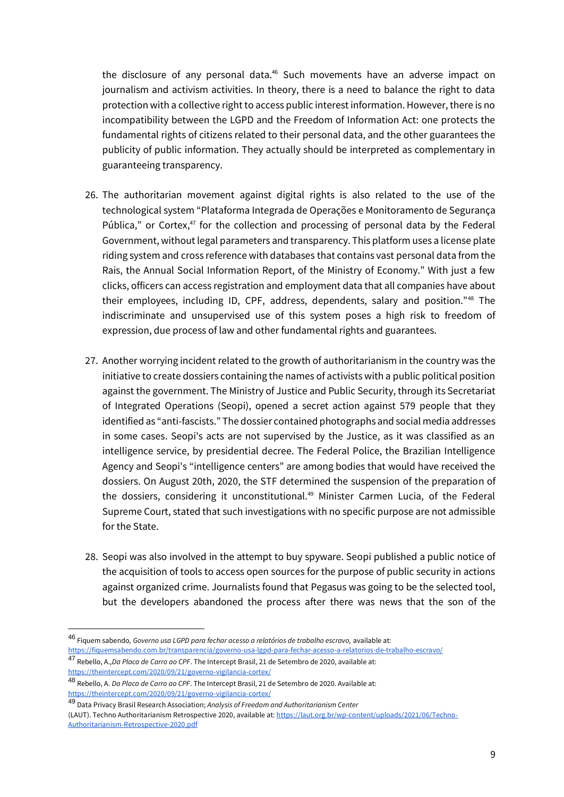the disclosure of any personal data.<sup>46</sup> Such movements have an adverse impact on journalism and activism activities. In theory, there is a need to balance the right to data protection with a collective right to access public interest information. However, there is no incompatibility between the LGPD and the Freedom of Information Act: one protects the fundamental rights of citizens related to their personal data, and the other guarantees the publicity of public information. They actually should be interpreted as complementary in guaranteeing transparency.

- 26. The authoritarian movement against digital rights is also related to the use of the technological system "Plataforma Integrada de Operações e Monitoramento de Segurança Pública," or Cortex, $47$  for the collection and processing of personal data by the Federal Government, without legal parameters and transparency. This platform uses a license plate riding system and cross reference with databases that contains vast personal data from the Rais, the Annual Social Information Report, of the Ministry of Economy." With just a few clicks, officers can access registration and employment data that all companies have about their employees, including ID, CPF, address, dependents, salary and position."<sup>48</sup> The indiscriminate and unsupervised use of this system poses a high risk to freedom of expression, due process of law and other fundamental rights and guarantees.
- 27. Another worrying incident related to the growth of authoritarianism in the country was the initiative to create dossiers containing the names of activists with a public political position against the government. The Ministry of Justice and Public Security, through its Secretariat of Integrated Operations (Seopi), opened a secret action against 579 people that they identified as "anti-fascists." The dossier contained photographs and social media addresses in some cases. Seopi's acts are not supervised by the Justice, as it was classified as an intelligence service, by presidential decree. The Federal Police, the Brazilian Intelligence Agency and Seopi's "intelligence centers" are among bodies that would have received the dossiers. On August 20th, 2020, the STF determined the suspension of the preparation of the dossiers, considering it unconstitutional.<sup>49</sup> Minister Carmen Lucia, of the Federal Supreme Court, stated that such investigations with no specific purpose are not admissible for the State.
- 28. Seopi was also involved in the attempt to buy spyware. Seopi published a public notice of the acquisition of tools to access open sources for the purpose of public security in actions against organized crime. Journalists found that Pegasus was going to be the selected tool, but the developers abandoned the process after there was news that the son of the

<sup>46</sup> Fiquem sabendo*, Governo usa LGPD para fechar acesso a relatórios de trabalho escravo,* available at: <https://fiquemsabendo.com.br/transparencia/governo-usa-lgpd-para-fechar-acesso-a-relatorios-de-trabalho-escravo/>

<sup>47</sup> Rebello, A.*,Da Placa de Carro ao CPF*. The Intercept Brasil, 21 de Setembro de 2020, available at: <https://theintercept.com/2020/09/21/governo-vigilancia-cortex/>

<sup>48</sup> Rebello, A. *Da Placa de Carro ao CPF*. The Intercept Brasil, 21 de Setembro de 2020. Available at: <https://theintercept.com/2020/09/21/governo-vigilancia-cortex/>

<sup>49</sup> Data Privacy Brasil Research Association; *Analysis of Freedom and Authoritarianism Center* (LAUT). Techno Authoritarianism Retrospective 2020, available at[: https://laut.org.br/wp-content/uploads/2021/06/Techno-](https://laut.org.br/wp-content/uploads/2021/06/Techno-Authoritarianism-Retrospective-2020.pdf)[Authoritarianism-Retrospective-2020.pdf](https://laut.org.br/wp-content/uploads/2021/06/Techno-Authoritarianism-Retrospective-2020.pdf)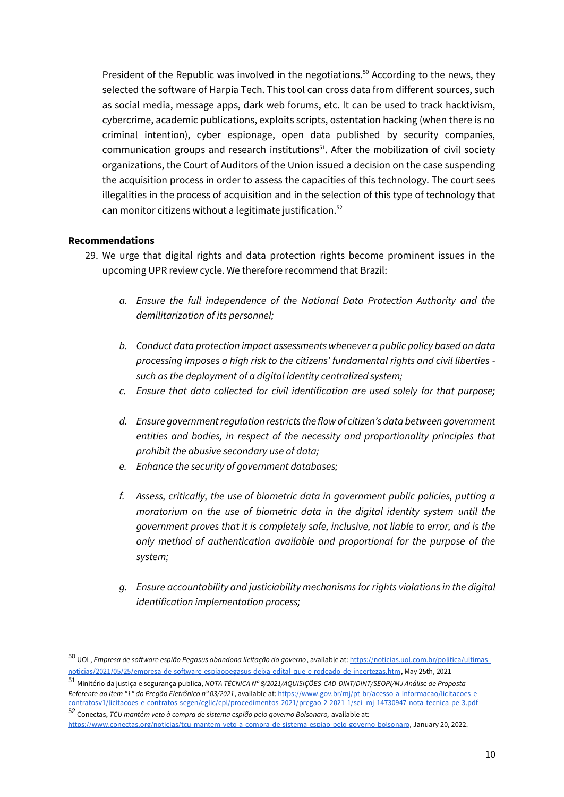President of the Republic was involved in the negotiations.<sup>50</sup> According to the news, they selected the software of Harpia Tech. This tool can cross data from different sources, such as social media, message apps, dark web forums, etc. It can be used to track hacktivism, cybercrime, academic publications, exploits scripts, ostentation hacking (when there is no criminal intention), cyber espionage, open data published by security companies, communication groups and research institutions<sup>51</sup>. After the mobilization of civil society organizations, the Court of Auditors of the Union issued a decision on the case suspending the acquisition process in order to assess the capacities of this technology. The court sees illegalities in the process of acquisition and in the selection of this type of technology that can monitor citizens without a legitimate justification.<sup>52</sup>

#### **Recommendations**

- 29. We urge that digital rights and data protection rights become prominent issues in the upcoming UPR review cycle. We therefore recommend that Brazil:
	- *a. Ensure the full independence of the National Data Protection Authority and the demilitarization of its personnel;*
	- *b. Conduct data protection impact assessments whenever a public policy based on data processing imposes a high risk to the citizens' fundamental rights and civil liberties such as the deployment of a digital identity centralized system;*
	- *c. Ensure that data collected for civil identification are used solely for that purpose;*
	- *d. Ensure government regulation restricts the flow of citizen's data between government entities and bodies, in respect of the necessity and proportionality principles that prohibit the abusive secondary use of data;*
	- *e. Enhance the security of government databases;*
	- *f. Assess, critically, the use of biometric data in government public policies, putting a moratorium on the use of biometric data in the digital identity system until the government proves that it is completely safe, inclusive, not liable to error, and is the only method of authentication available and proportional for the purpose of the system;*
	- *g. Ensure accountability and justiciability mechanisms for rights violations in the digital identification implementation process;*

<sup>50</sup> UOL, *Empresa de software espião Pegasus abandona licitação do governo*, available at[: https://noticias.uol.com.br/politica/ultimas](https://noticias.uol.com.br/politica/ultimas-noticias/2021/05/25/empresa-de-software-espiaopegasus-deixa-edital-que-e-rodeado-de-incertezas.htm)[noticias/2021/05/25/empresa-de-software-espiaopegasus-deixa-edital-que-e-rodeado-de-incertezas.htm](https://noticias.uol.com.br/politica/ultimas-noticias/2021/05/25/empresa-de-software-espiaopegasus-deixa-edital-que-e-rodeado-de-incertezas.htm), May 25th, 2021

<sup>51</sup> Minitério da justiça e segurança publica, *NOTA TÉCNICA Nº 8/2021/AQUISIÇÕES-CAD-DINT/DINT/SEOPI/MJ Análise de Proposta Referente ao Item "1" do Pregão Eletrônico nº 03/2021*, available at[: https://www.gov.br/mj/pt-br/acesso-a-informacao/licitacoes-e](https://www.gov.br/mj/pt-br/acesso-a-informacao/licitacoes-e-contratosv1/licitacoes-e-contratos-segen/cglic/cpl/procedimentos-2021/pregao-2-2021-1/sei_mj-14730947-nota-tecnica-pe-3.pdf)[contratosv1/licitacoes-e-contratos-segen/cglic/cpl/procedimentos-2021/pregao-2-2021-1/sei\\_mj-14730947-nota-tecnica-pe-3.pdf](https://www.gov.br/mj/pt-br/acesso-a-informacao/licitacoes-e-contratosv1/licitacoes-e-contratos-segen/cglic/cpl/procedimentos-2021/pregao-2-2021-1/sei_mj-14730947-nota-tecnica-pe-3.pdf)

<sup>52</sup> Conectas, *TCU mantém veto à compra de sistema espião pelo governo Bolsonaro,* available at:

[https://www.conectas.org/noticias/tcu-mantem-veto-a-compra-de-sistema-espiao-pelo-governo-bolsonaro,](https://www.conectas.org/noticias/tcu-mantem-veto-a-compra-de-sistema-espiao-pelo-governo-bolsonaro) January 20, 2022.